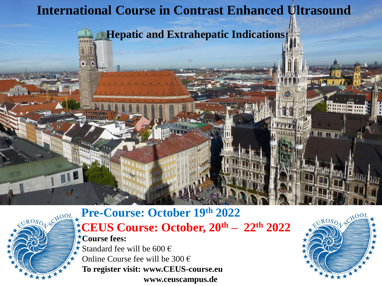# **International Course in Contrast Enhanced Ultrasound**

**Hepatic and Extrahepatic Indications**

# EUROSOL SCHOOL

#### **Pre-Course: October 19th 2022 CEUS Course: October, 20th – 22th 2022 Course fees:**

Standard fee will be  $600 \in$ Online Course fee will be  $300 \in$ **To register visit: www.CEUS-course.eu www.ceuscampus.de** 

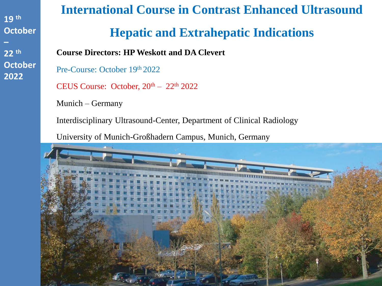# **International Course in Contrast Enhanced Ultrasound Hepatic and Extrahepatic Indications**

**Course Directors: HP Weskott and DA Clevert**

Pre-Course: October 19th 2022

CEUS Course: October,  $20<sup>th</sup> - 22<sup>th</sup> 2022$ 

Munich – Germany

Interdisciplinary Ultrasound-Center, Department of Clinical Radiology

University of Munich-Großhadern Campus, Munich, Germany

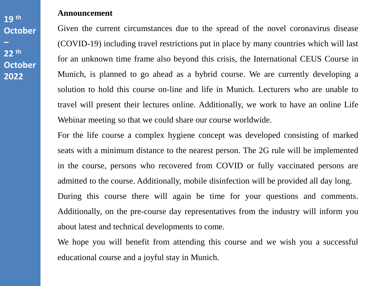#### **Announcement**

Given the current circumstances due to the spread of the novel coronavirus disease (COVID-19) including travel restrictions put in place by many countries which will last for an unknown time frame also beyond this crisis, the International CEUS Course in Munich, is planned to go ahead as a hybrid course. We are currently developing a solution to hold this course on-line and life in Munich. Lecturers who are unable to travel will present their lectures online. Additionally, we work to have an online Life Webinar meeting so that we could share our course worldwide.

For the life course a complex hygiene concept was developed consisting of marked seats with a minimum distance to the nearest person. The 2G rule will be implemented in the course, persons who recovered from COVID or fully vaccinated persons are admitted to the course. Additionally, mobile disinfection will be provided all day long. During this course there will again be time for your questions and comments. Additionally, on the pre-course day representatives from the industry will inform you about latest and technical developments to come.

We hope you will benefit from attending this course and we wish you a successful educational course and a joyful stay in Munich.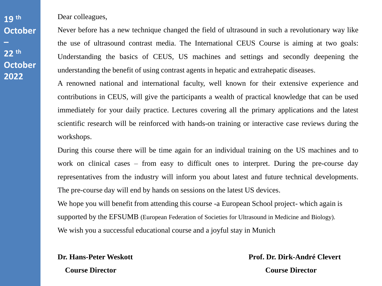Dear colleagues,

Never before has a new technique changed the field of ultrasound in such a revolutionary way like the use of ultrasound contrast media. The International CEUS Course is aiming at two goals: Understanding the basics of CEUS, US machines and settings and secondly deepening the understanding the benefit of using contrast agents in hepatic and extrahepatic diseases.

A renowned national and international faculty, well known for their extensive experience and contributions in CEUS, will give the participants a wealth of practical knowledge that can be used immediately for your daily practice. Lectures covering all the primary applications and the latest scientific research will be reinforced with hands-on training or interactive case reviews during the workshops.

During this course there will be time again for an individual training on the US machines and to work on clinical cases – from easy to difficult ones to interpret. During the pre-course day representatives from the industry will inform you about latest and future technical developments. The pre-course day will end by hands on sessions on the latest US devices.

We hope you will benefit from attending this course -a European School project- which again is supported by the EFSUMB (European Federation of Societies for Ultrasound in Medicine and Biology). We wish you a successful educational course and a joyful stay in Munich

 **Course Director Course Director**

**Dr. Hans-Peter Weskott Prof. Dr. Dirk-André Clevert**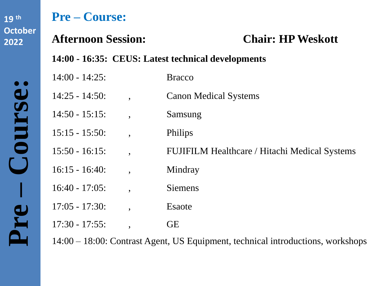**Pre** 

**– Course:** 

# **Pre – Course:**

## **Afternoon Session: Chair: HP Weskott**

**14:00 - 16:35: CEUS: Latest technical developments** 

| $14:00 - 14:25$ : |                          | <b>Bracco</b>                                        |
|-------------------|--------------------------|------------------------------------------------------|
| $14:25 - 14:50$ : | $\ddot{\phantom{0}}$     | <b>Canon Medical Systems</b>                         |
| $14:50 - 15:15$ : | $\overline{\phantom{a}}$ | Samsung                                              |
| $15:15 - 15:50$ : | $\bullet$                | Philips                                              |
| $15:50 - 16:15$ : | $\bullet$                | <b>FUJIFILM Healthcare / Hitachi Medical Systems</b> |
| $16:15 - 16:40$   | $\bullet$                | Mindray                                              |
| $16:40 - 17:05$ : | $\overline{\phantom{a}}$ | <b>Siemens</b>                                       |
| $17:05 - 17:30$ : | $\bullet$                | Esaote                                               |
| $17:30 - 17:55$ : | $\bullet$                | <b>GE</b>                                            |
|                   |                          |                                                      |

14:00 – 18:00: Contrast Agent, US Equipment, technical introductions, workshops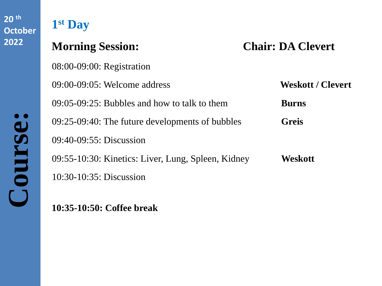# **1 st Day**

08:00-09:00: Registration

**Morning Session: Chair: DA Clevert**

|                         | $09:00-09:05$ : Welcome address                    | <b>Weskott / Clevert</b> |
|-------------------------|----------------------------------------------------|--------------------------|
|                         | $09:05-09:25$ : Bubbles and how to talk to them    | <b>Burns</b>             |
| $\bullet$<br>$\bigcirc$ | 09:25-09:40: The future developments of bubbles    | <b>Greis</b>             |
|                         | $09:40-09:55$ : Discussion                         |                          |
| <b>OUI'S</b>            | 09:55-10:30: Kinetics: Liver, Lung, Spleen, Kidney | Weskott                  |
|                         | $10:30-10:35$ : Discussion                         |                          |
|                         |                                                    |                          |

**10:35-10:50: Coffee break**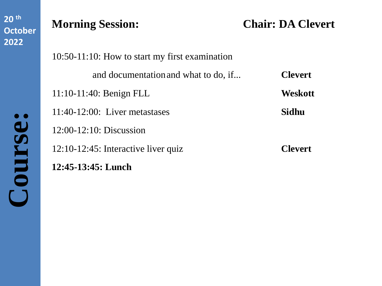# **Morning Session: Chair: DA Clevert**

| 10:50-11:10: How to start my first examination |                |  |  |
|------------------------------------------------|----------------|--|--|
| and documentation and what to do, if           | <b>Clevert</b> |  |  |
| $11:10-11:40$ : Benign FLL                     | <b>Weskott</b> |  |  |
| $11:40-12:00$ : Liver metastases               | Sidhu          |  |  |
| $12:00-12:10$ : Discussion                     |                |  |  |
| $12:10-12:45$ : Interactive liver quiz         | <b>Clevert</b> |  |  |
| 12:45-13:45: Lunch                             |                |  |  |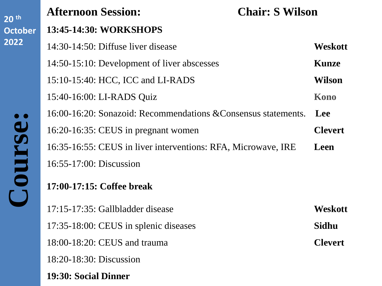| 20 <sup>th</sup>    | <b>Afternoon Session:</b><br><b>Chair: S Wilson</b>            |                |
|---------------------|----------------------------------------------------------------|----------------|
| <b>October</b>      | 13:45-14:30: WORKSHOPS                                         |                |
| 2022                | 14:30-14:50: Diffuse liver disease                             | Weskott        |
|                     | 14:50-15:10: Development of liver abscesses                    | <b>Kunze</b>   |
|                     | 15:10-15:40: HCC, ICC and LI-RADS                              | <b>Wilson</b>  |
| $\bullet$<br>Course | 15:40-16:00: LI-RADS Quiz                                      | Kono           |
|                     | 16:00-16:20: Sonazoid: Recommendations & Consensus statements. | Lee            |
|                     | 16:20-16:35: CEUS in pregnant women                            | <b>Clevert</b> |
|                     | 16:35-16:55: CEUS in liver interventions: RFA, Microwave, IRE  | Leen           |
|                     | 16:55-17:00: Discussion                                        |                |
|                     | 17:00-17:15: Coffee break                                      |                |
|                     | 17:15-17:35: Gallbladder disease                               | Weskott        |
|                     | 17:35-18:00: CEUS in splenic diseases                          | Sidhu          |
|                     | 18:00-18:20: CEUS and trauma                                   | <b>Clevert</b> |
|                     | 18:20-18:30: Discussion                                        |                |
|                     | 19:30: Social Dinner                                           |                |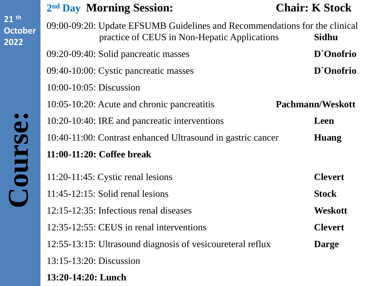**Course:** Course:

## **2 nd Day Morning Session: Chair: K Stock**

| 09:00-09:20: Update EFSUMB Guidelines and Recommendations for the clinical<br>practice of CEUS in Non-Hepatic Applications<br>Sidhu |                         |  |
|-------------------------------------------------------------------------------------------------------------------------------------|-------------------------|--|
| 09:20-09:40: Solid pancreatic masses                                                                                                | D'Onofrio               |  |
| 09:40-10:00: Cystic pancreatic masses                                                                                               | D'Onofrio               |  |
| $10:00 - 10:05$ : Discussion                                                                                                        |                         |  |
| 10:05-10:20: Acute and chronic pancreatitis                                                                                         | <b>Pachmann/Weskott</b> |  |
| 10:20-10:40: IRE and pancreatic interventions                                                                                       | Leen                    |  |
| 10:40-11:00: Contrast enhanced Ultrasound in gastric cancer                                                                         | Huang                   |  |
| 11:00-11:20: Coffee break                                                                                                           |                         |  |
| $11:20-11:45$ : Cystic renal lesions                                                                                                | <b>Clevert</b>          |  |
| $11:45-12:15$ : Solid renal lesions                                                                                                 | <b>Stock</b>            |  |
| $12:15-12:35$ : Infectious renal diseases                                                                                           | Weskott                 |  |
| 12:35-12:55: CEUS in renal interventions                                                                                            | <b>Clevert</b>          |  |
| 12:55-13:15: Ultrasound diagnosis of vesicoureteral reflux                                                                          | <b>Darge</b>            |  |
| 13:15-13:20: Discussion                                                                                                             |                         |  |
| 13:20-14:20: Lunch                                                                                                                  |                         |  |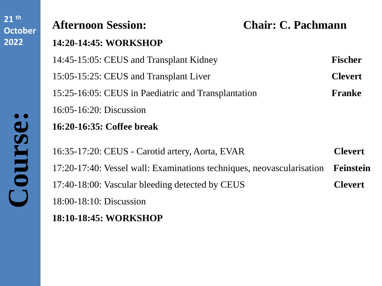| <b>Afternoon Session:</b>                                             | <b>Chair: C. Pachmann</b> |  |
|-----------------------------------------------------------------------|---------------------------|--|
| 14:20-14:45: WORKSHOP                                                 |                           |  |
| 14:45-15:05: CEUS and Transplant Kidney                               | <b>Fischer</b>            |  |
| 15:05-15:25: CEUS and Transplant Liver                                | <b>Clevert</b>            |  |
| 15:25-16:05: CEUS in Paediatric and Transplantation                   | Franke                    |  |
| $16:05 - 16:20$ : Discussion                                          |                           |  |
| 16:20-16:35: Coffee break                                             |                           |  |
| 16:35-17:20: CEUS - Carotid artery, Aorta, EVAR                       | <b>Clevert</b>            |  |
| 17:20-17:40: Vessel wall: Examinations techniques, neovascularisation |                           |  |
| 17:40-18:00: Vascular bleeding detected by CEUS                       | <b>Clevert</b>            |  |
| $18:00-18:10$ : Discussion                                            |                           |  |
| 18:10-18:45: WORKSHOP                                                 |                           |  |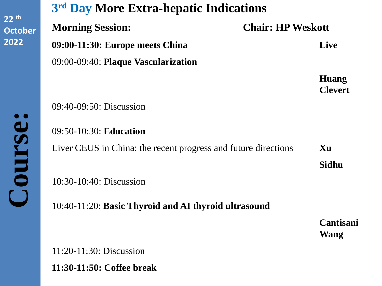**3 rd Day More Extra-hepatic Indications Morning Session: Chair: HP Weskott 09:00-11:30: Europe meets China Live** 09:00-09:40: **Plaque Vascularization Huang Clevert**

09:40-09:50: Discussion

09:50-10:30: **Education** Liver CEUS in China: the recent progress and future directions **Xu Sidhu**

10:30-10:40: Discussion

10:40-11:20: **Basic Thyroid and AI thyroid ultrasound**

**Cantisani Wang**

11:20-11:30: Discussion **11:30-11:50: Coffee break**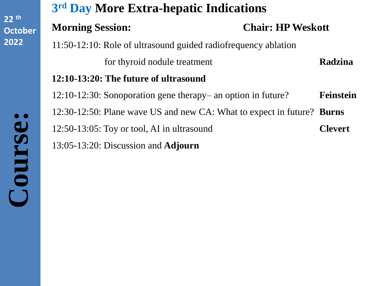# **3 rd Day More Extra-hepatic Indications Morning Session: Chair: HP Weskott** 11:50-12:10: Role of ultrasound guided radiofrequency ablation for thyroid nodule treatment **Radzina 12:10-13:20: The future of ultrasound** 12:10-12:30: Sonoporation gene therapy– an option in future? **Feinstein** 12:30-12:50: Plane wave US and new CA: What to expect in future? **Burns** 12:50-13:05: Toy or tool, AI in ultrasound **Clevert** 13:05-13:20: Discussion and **Adjourn**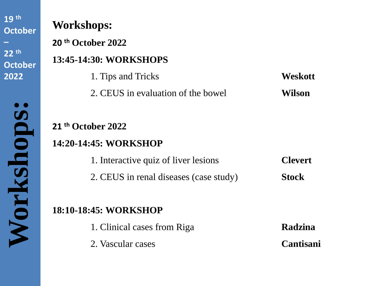**Workshops:** 

Workshops

 $\bullet$ 

# **Workshops:**

**20 th October 2022**

## **13:45-14:30: WORKSHOPS**

1. Tips and Tricks **Weskott** 2. CEUS in evaluation of the bowel **Wilson**

#### **21 th October 2022**

#### **14:20-14:45: WORKSHOP**

1. Interactive quiz of liver lesions **Clevert** 2. CEUS in renal diseases (case study) **Stock**

## **18:10-18:45: WORKSHOP**

- 1. Clinical cases from Riga **Radzina**
- 2. Vascular cases **Cantisani**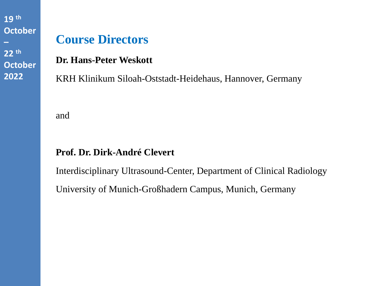# **Course Directors**

**Dr. Hans-Peter Weskott**

KRH Klinikum Siloah-Oststadt-Heidehaus, Hannover, Germany

and

#### **Prof. Dr. Dirk-André Clevert**

Interdisciplinary Ultrasound-Center, Department of Clinical Radiology University of Munich-Großhadern Campus, Munich, Germany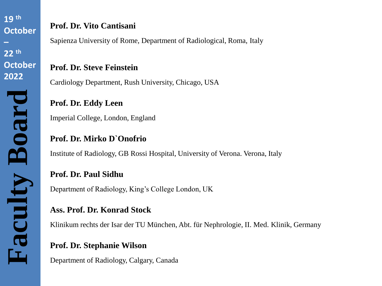**Faculty Board**

#### **Prof. Dr. Vito Cantisani**

Sapienza University of Rome, Department of Radiological, Roma, Italy

#### **Prof. Dr. Steve Feinstein**

Cardiology Department, Rush University, Chicago, USA

#### **Prof. Dr. Eddy Leen**

Imperial College, London, England

#### **Prof. Dr. Mirko D`Onofrio**

Institute of Radiology, GB Rossi Hospital, University of Verona. Verona, Italy

#### **Prof. Dr. Paul Sidhu**

Department of Radiology, King's College London, UK

#### **Ass. Prof. Dr. Konrad Stock**

Klinikum rechts der Isar der TU München, Abt. für Nephrologie, II. Med. Klinik, Germany

#### **Prof. Dr. Stephanie Wilson**

Department of Radiology, Calgary, Canada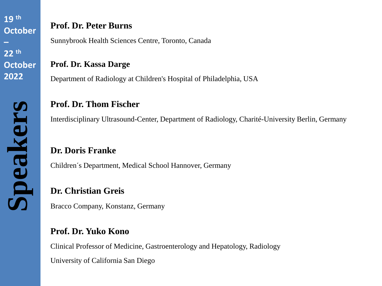#### **Prof. Dr. Peter Burns**

Sunnybrook Health Sciences Centre, Toronto, Canada

**Prof. Dr. Kassa Darge**

Department of Radiology at Children's Hospital of Philadelphia, USA

#### **Prof. Dr. Thom Fischer**

Interdisciplinary Ultrasound-Center, Department of Radiology, Charité-University Berlin, Germany

#### **Dr. Doris Franke**

Children´s Department, Medical School Hannover, Germany

#### **Dr. Christian Greis**

Bracco Company, Konstanz, Germany

#### **Prof. Dr. Yuko Kono**

Clinical Professor of Medicine, Gastroenterology and Hepatology, Radiology

University of California San Diego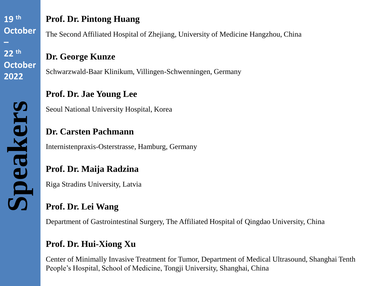**Speakers**

#### **Prof. Dr. Pintong Huang**

The Second Affiliated Hospital of Zhejiang, University of Medicine Hangzhou, China

#### **Dr. George Kunze**

Schwarzwald-Baar Klinikum, Villingen-Schwenningen, Germany

#### **Prof. Dr. Jae Young Lee**

Seoul National University Hospital, Korea

#### **Dr. Carsten Pachmann**

Internistenpraxis-Osterstrasse, Hamburg, Germany

#### **Prof. Dr. Maija Radzina**

Riga Stradins University, Latvia

## **Prof. Dr. Lei Wang**

Department of Gastrointestinal Surgery, The Affiliated Hospital of Qingdao University, China

#### **Prof. Dr. Hui-Xiong Xu**

Center of Minimally Invasive Treatment for Tumor, Department of Medical Ultrasound, Shanghai Tenth People's Hospital, School of Medicine, Tongji University, Shanghai, China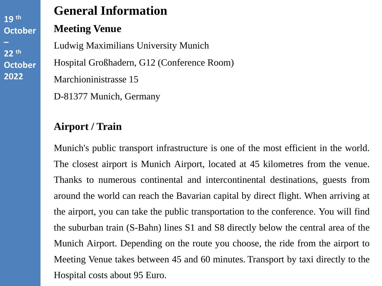# **General Information**

#### **Meeting Venue**

Ludwig Maximilians University Munich Hospital Großhadern, G12 (Conference Room) Marchioninistrasse 15

D-81377 Munich, Germany

#### **Airport / Train**

Munich's public transport infrastructure is one of the most efficient in the world. The closest airport is Munich Airport, located at 45 kilometres from the venue. Thanks to numerous continental and intercontinental destinations, guests from around the world can reach the Bavarian capital by direct flight. When arriving at the airport, you can take the public transportation to the conference. You will find the suburban train (S-Bahn) lines S1 and S8 directly below the central area of the Munich Airport. Depending on the route you choose, the ride from the airport to Meeting Venue takes between 45 and 60 minutes. Transport by taxi directly to the Hospital costs about 95 Euro.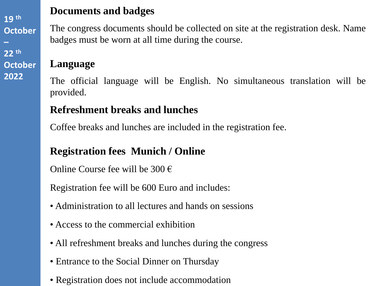#### **Documents and badges**

The congress documents should be collected on site at the registration desk. Name badges must be worn at all time during the course.

#### **Language**

The official language will be English. No simultaneous translation will be provided.

#### **Refreshment breaks and lunches**

Coffee breaks and lunches are included in the registration fee.

## **Registration fees Munich / Online**

Online Course fee will be  $300 \in$ 

Registration fee will be 600 Euro and includes:

- Administration to all lectures and hands on sessions
- Access to the commercial exhibition
- All refreshment breaks and lunches during the congress
- Entrance to the Social Dinner on Thursday
- Registration does not include accommodation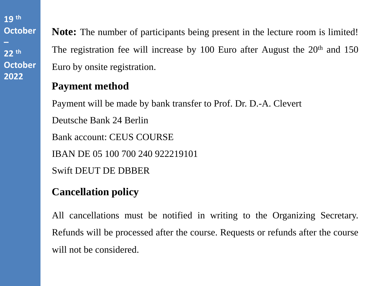**Note:** The number of participants being present in the lecture room is limited! The registration fee will increase by 100 Euro after August the  $20<sup>th</sup>$  and 150 Euro by onsite registration.

#### **Payment method**

Payment will be made by bank transfer to Prof. Dr. D.-A. Clevert

Deutsche Bank 24 Berlin

Bank account: CEUS COURSE

IBAN DE 05 100 700 240 922219101

Swift DEUT DE DBBER

# **Cancellation policy**

All cancellations must be notified in writing to the Organizing Secretary. Refunds will be processed after the course. Requests or refunds after the course will not be considered.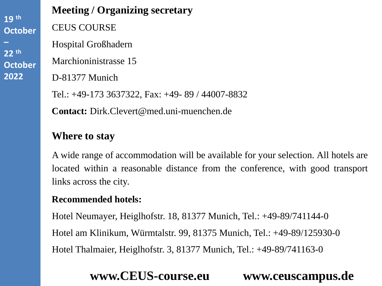#### **Meeting / Organizing secretary**

CEUS COURSE

Hospital Großhadern

Marchioninistrasse 15

D-81377 Munich

Tel.: +49-173 3637322, Fax: +49- 89 / 44007-8832

**Contact:** Dirk.Clevert@med.uni-muenchen.de

#### **Where to stay**

A wide range of accommodation will be available for your selection. All hotels are located within a reasonable distance from the conference, with good transport links across the city.

#### **Recommended hotels:**

Hotel Neumayer, Heiglhofstr. 18, 81377 Munich, Tel.: +49-89/741144-0 Hotel am Klinikum, Würmtalstr. 99, 81375 Munich, Tel.: +49-89/125930-0 Hotel Thalmaier, Heiglhofstr. 3, 81377 Munich, Tel.: +49-89/741163-0

# **www.CEUS-course.eu www.ceuscampus.de**